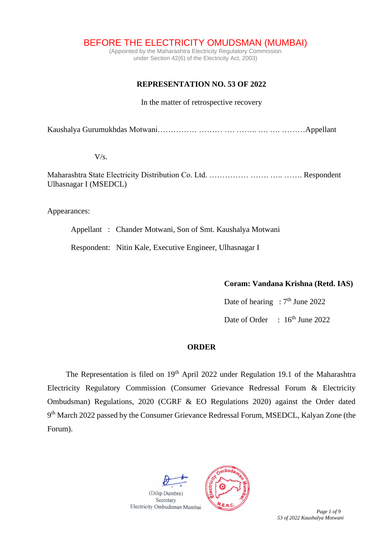BEFORE THE ELECTRICITY OMUDSMAN (MUMBAI)

(Appointed by the Maharashtra Electricity Regulatory Commission under Section 42(6) of the Electricity Act, 2003)

## **REPRESENTATION NO. 53 OF 2022**

In the matter of retrospective recovery

Kaushalya Gurumukhdas Motwani…………… ……… …. …….. …. …. ………Appellant

 $V/s$ .

Maharashtra State Electricity Distribution Co. Ltd. …………… ……. ….. ……. Respondent Ulhasnagar I (MSEDCL)

Appearances:

Appellant : Chander Motwani, Son of Smt. Kaushalya Motwani

Respondent: Nitin Kale, Executive Engineer, Ulhasnagar I

**Coram: Vandana Krishna (Retd. IAS)**

Date of hearing :  $7<sup>th</sup>$  June 2022 Date of Order : 16<sup>th</sup> June 2022

## **ORDER**

The Representation is filed on 19<sup>th</sup> April 2022 under Regulation 19.1 of the Maharashtra Electricity Regulatory Commission (Consumer Grievance Redressal Forum & Electricity Ombudsman) Regulations, 2020 (CGRF & EO Regulations 2020) against the Order dated 9<sup>th</sup> March 2022 passed by the Consumer Grievance Redressal Forum, MSEDCL, Kalyan Zone (the Forum).



*53 of 2022 Kaushalya Motwani*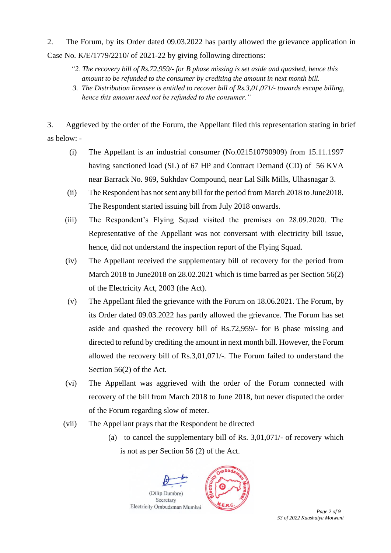2. The Forum, by its Order dated 09.03.2022 has partly allowed the grievance application in Case No. K/E/1779/2210/ of 2021-22 by giving following directions:

- *"2. The recovery bill of Rs.72,959/- for B phase missing is set aside and quashed, hence this amount to be refunded to the consumer by crediting the amount in next month bill.*
- *3. The Distribution licensee is entitled to recover bill of Rs.3,01,071/- towards escape billing, hence this amount need not be refunded to the consumer."*

3. Aggrieved by the order of the Forum, the Appellant filed this representation stating in brief as below: -

- (i) The Appellant is an industrial consumer (No.021510790909) from 15.11.1997 having sanctioned load (SL) of 67 HP and Contract Demand (CD) of 56 KVA near Barrack No. 969, Sukhdav Compound, near Lal Silk Mills, Ulhasnagar 3.
- (ii) The Respondent has not sent any bill for the period from March 2018 to June2018. The Respondent started issuing bill from July 2018 onwards.
- (iii) The Respondent's Flying Squad visited the premises on 28.09.2020. The Representative of the Appellant was not conversant with electricity bill issue, hence, did not understand the inspection report of the Flying Squad.
- (iv) The Appellant received the supplementary bill of recovery for the period from March 2018 to June2018 on 28.02.2021 which is time barred as per Section 56(2) of the Electricity Act, 2003 (the Act).
- (v) The Appellant filed the grievance with the Forum on 18.06.2021. The Forum, by its Order dated 09.03.2022 has partly allowed the grievance. The Forum has set aside and quashed the recovery bill of Rs.72,959/- for B phase missing and directed to refund by crediting the amount in next month bill. However, the Forum allowed the recovery bill of Rs.3,01,071/-. The Forum failed to understand the Section 56(2) of the Act.
- (vi) The Appellant was aggrieved with the order of the Forum connected with recovery of the bill from March 2018 to June 2018, but never disputed the order of the Forum regarding slow of meter.
- (vii) The Appellant prays that the Respondent be directed
	- (a) to cancel the supplementary bill of Rs. 3,01,071/- of recovery which is not as per Section 56 (2) of the Act.

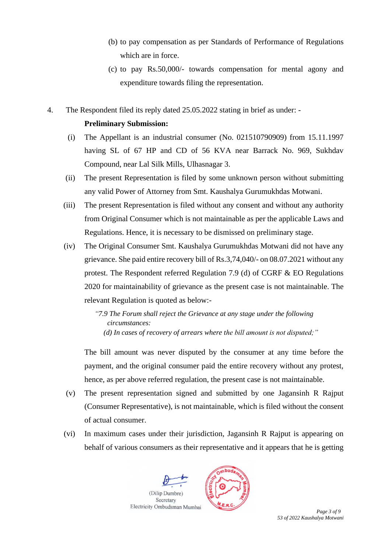- (b) to pay compensation as per Standards of Performance of Regulations which are in force.
- (c) to pay Rs.50,000/- towards compensation for mental agony and expenditure towards filing the representation.
- 4. The Respondent filed its reply dated 25.05.2022 stating in brief as under: **Preliminary Submission:**
	- (i) The Appellant is an industrial consumer (No. 021510790909) from 15.11.1997 having SL of 67 HP and CD of 56 KVA near Barrack No. 969, Sukhdav Compound, near Lal Silk Mills, Ulhasnagar 3.
	- (ii) The present Representation is filed by some unknown person without submitting any valid Power of Attorney from Smt. Kaushalya Gurumukhdas Motwani.
	- (iii) The present Representation is filed without any consent and without any authority from Original Consumer which is not maintainable as per the applicable Laws and Regulations. Hence, it is necessary to be dismissed on preliminary stage.
	- (iv) The Original Consumer Smt. Kaushalya Gurumukhdas Motwani did not have any grievance. She paid entire recovery bill of Rs.3,74,040/- on 08.07.2021 without any protest. The Respondent referred Regulation 7.9 (d) of CGRF & EO Regulations 2020 for maintainability of grievance as the present case is not maintainable. The relevant Regulation is quoted as below:-

*"7.9 The Forum shall reject the Grievance at any stage under the following circumstances: (d) In cases of recovery of arrears where the bill amount is not disputed;"*

The bill amount was never disputed by the consumer at any time before the payment, and the original consumer paid the entire recovery without any protest, hence, as per above referred regulation, the present case is not maintainable.

- (v) The present representation signed and submitted by one Jagansinh R Rajput (Consumer Representative), is not maintainable, which is filed without the consent of actual consumer.
- (vi) In maximum cases under their jurisdiction, Jagansinh R Rajput is appearing on behalf of various consumers as their representative and it appears that he is getting



*53 of 2022 Kaushalya Motwani*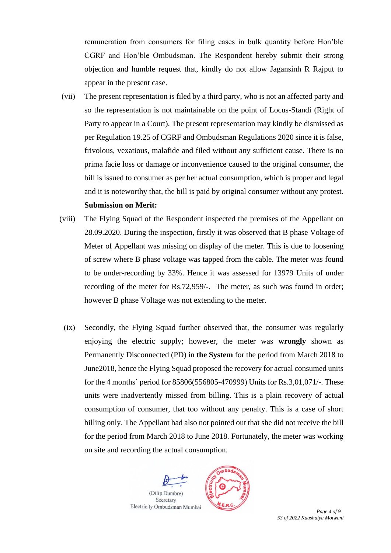remuneration from consumers for filing cases in bulk quantity before Hon'ble CGRF and Hon'ble Ombudsman. The Respondent hereby submit their strong objection and humble request that, kindly do not allow Jagansinh R Rajput to appear in the present case.

(vii) The present representation is filed by a third party, who is not an affected party and so the representation is not maintainable on the point of Locus-Standi (Right of Party to appear in a Court). The present representation may kindly be dismissed as per Regulation 19.25 of CGRF and Ombudsman Regulations 2020 since it is false, frivolous, vexatious, malafide and filed without any sufficient cause. There is no prima facie loss or damage or inconvenience caused to the original consumer, the bill is issued to consumer as per her actual consumption, which is proper and legal and it is noteworthy that, the bill is paid by original consumer without any protest.

## **Submission on Merit:**

- (viii) The Flying Squad of the Respondent inspected the premises of the Appellant on 28.09.2020. During the inspection, firstly it was observed that B phase Voltage of Meter of Appellant was missing on display of the meter. This is due to loosening of screw where B phase voltage was tapped from the cable. The meter was found to be under-recording by 33%. Hence it was assessed for 13979 Units of under recording of the meter for Rs.72,959/-. The meter, as such was found in order; however B phase Voltage was not extending to the meter.
	- (ix) Secondly, the Flying Squad further observed that, the consumer was regularly enjoying the electric supply; however, the meter was **wrongly** shown as Permanently Disconnected (PD) in **the System** for the period from March 2018 to June2018, hence the Flying Squad proposed the recovery for actual consumed units for the 4 months' period for 85806(556805-470999) Units for Rs.3,01,071/-. These units were inadvertently missed from billing. This is a plain recovery of actual consumption of consumer, that too without any penalty. This is a case of short billing only. The Appellant had also not pointed out that she did not receive the bill for the period from March 2018 to June 2018. Fortunately, the meter was working on site and recording the actual consumption.



*53 of 2022 Kaushalya Motwani*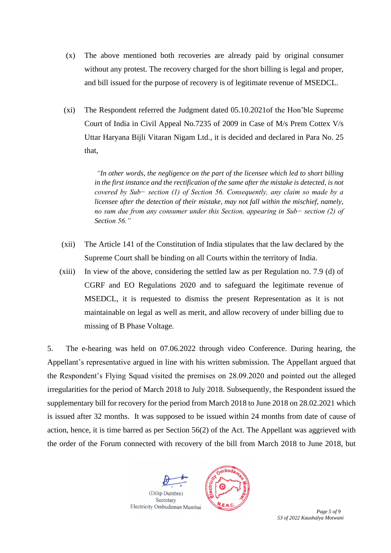- (x) The above mentioned both recoveries are already paid by original consumer without any protest. The recovery charged for the short billing is legal and proper, and bill issued for the purpose of recovery is of legitimate revenue of MSEDCL.
- (xi) The Respondent referred the Judgment dated 05.10.2021of the Hon'ble Supreme Court of India in Civil Appeal No.7235 of 2009 in Case of M/s Prem Cottex V/s Uttar Haryana Bijli Vitaran Nigam Ltd., it is decided and declared in Para No. 25 that,

*"In other words, the negligence on the part of the licensee which led to short billing in the first instance and the rectification of the same after the mistake is detected, is not covered by Sub− section (1) of Section 56. Consequently, any claim so made by a licensee after the detection of their mistake, may not fall within the mischief, namely, no sum due from any consumer under this Section, appearing in Sub− section (2) of Section 56."*

- (xii) The Article 141 of the Constitution of India stipulates that the law declared by the Supreme Court shall be binding on all Courts within the territory of India.
- (xiii) In view of the above, considering the settled law as per Regulation no. 7.9 (d) of CGRF and EO Regulations 2020 and to safeguard the legitimate revenue of MSEDCL, it is requested to dismiss the present Representation as it is not maintainable on legal as well as merit, and allow recovery of under billing due to missing of B Phase Voltage.

5. The e-hearing was held on 07.06.2022 through video Conference. During hearing, the Appellant's representative argued in line with his written submission. The Appellant argued that the Respondent's Flying Squad visited the premises on 28.09.2020 and pointed out the alleged irregularities for the period of March 2018 to July 2018. Subsequently, the Respondent issued the supplementary bill for recovery for the period from March 2018 to June 2018 on 28.02.2021 which is issued after 32 months. It was supposed to be issued within 24 months from date of cause of action, hence, it is time barred as per Section 56(2) of the Act. The Appellant was aggrieved with the order of the Forum connected with recovery of the bill from March 2018 to June 2018, but



*53 of 2022 Kaushalya Motwani*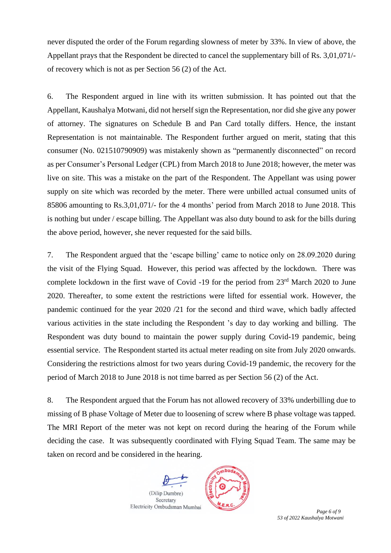never disputed the order of the Forum regarding slowness of meter by 33%. In view of above, the Appellant prays that the Respondent be directed to cancel the supplementary bill of Rs. 3,01,071/ of recovery which is not as per Section 56 (2) of the Act.

6. The Respondent argued in line with its written submission. It has pointed out that the Appellant, Kaushalya Motwani, did not herself sign the Representation, nor did she give any power of attorney. The signatures on Schedule B and Pan Card totally differs. Hence, the instant Representation is not maintainable. The Respondent further argued on merit, stating that this consumer (No. 021510790909) was mistakenly shown as "permanently disconnected" on record as per Consumer's Personal Ledger (CPL) from March 2018 to June 2018; however, the meter was live on site. This was a mistake on the part of the Respondent. The Appellant was using power supply on site which was recorded by the meter. There were unbilled actual consumed units of 85806 amounting to Rs.3,01,071/- for the 4 months' period from March 2018 to June 2018. This is nothing but under / escape billing. The Appellant was also duty bound to ask for the bills during the above period, however, she never requested for the said bills.

7. The Respondent argued that the 'escape billing' came to notice only on 28.09.2020 during the visit of the Flying Squad. However, this period was affected by the lockdown. There was complete lockdown in the first wave of Covid -19 for the period from 23<sup>rd</sup> March 2020 to June 2020. Thereafter, to some extent the restrictions were lifted for essential work. However, the pandemic continued for the year 2020 /21 for the second and third wave, which badly affected various activities in the state including the Respondent 's day to day working and billing. The Respondent was duty bound to maintain the power supply during Covid-19 pandemic, being essential service. The Respondent started its actual meter reading on site from July 2020 onwards. Considering the restrictions almost for two years during Covid-19 pandemic, the recovery for the period of March 2018 to June 2018 is not time barred as per Section 56 (2) of the Act.

8. The Respondent argued that the Forum has not allowed recovery of 33% underbilling due to missing of B phase Voltage of Meter due to loosening of screw where B phase voltage was tapped. The MRI Report of the meter was not kept on record during the hearing of the Forum while deciding the case. It was subsequently coordinated with Flying Squad Team. The same may be taken on record and be considered in the hearing.



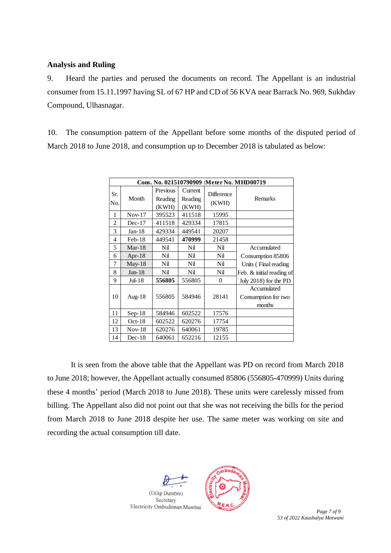## **Analysis and Ruling**

9. Heard the parties and perused the documents on record. The Appellant is an industrial consumer from 15.11.1997 having SL of 67 HP and CD of 56 KVA near Barrack No. 969, Sukhdav Compound, Ulhasnagar.

10. The consumption pattern of the Appellant before some months of the disputed period of March 2018 to June 2018, and consumption up to December 2018 is tabulated as below:

| Cons. No. 021510790909 :Meter No. MHD00719 |               |                              |                             |                            |                                              |
|--------------------------------------------|---------------|------------------------------|-----------------------------|----------------------------|----------------------------------------------|
| Sr.<br>No.                                 | Month         | Previous<br>Reading<br>(KWH) | Current<br>Reading<br>(KWH) | <b>Difference</b><br>(KWH) | Remarks                                      |
| 1                                          | $Nov-17$      | 395523                       | 411518                      | 15995                      |                                              |
| $\overline{2}$                             | $Dec-17$      | 411518                       | 429334                      | 17815                      |                                              |
| 3                                          | $Jan-18$      | 429334                       | 449541                      | 20207                      |                                              |
| 4                                          | $Feb-18$      | 449541                       | 470999                      | 21458                      |                                              |
| 5                                          | Mar-18        | Nil                          | Nil                         | Nil                        | Accumulated                                  |
| 6                                          | Apr- $18$     | Nil                          | Nil                         | Nil                        | Consumption 85806                            |
| 7                                          | May- $18$     | Nil                          | Nil                         | Nil                        | Units (Final reading)                        |
| 8                                          | $Jun-18$      | Nil                          | Nil                         | Nil                        | Feb. & initial reading of                    |
| 9                                          | $Jul-18$      | 556805                       | 556805                      | $\theta$                   | July 2018) for the PD                        |
| 10                                         | Aug- $18$     | 556805                       | 584946                      | 28141                      | Accumulated<br>Consumption for two<br>months |
| 11                                         | $Sep-18$      | 584946                       | 602522                      | 17576                      |                                              |
| 12                                         | $Oct-18$      | 602522                       | 620276                      | 17754                      |                                              |
| 13                                         | <b>Nov-18</b> | 620276                       | 640061                      | 19785                      |                                              |
| 14                                         | $Dec-18$      | 640061                       | 652216                      | 12155                      |                                              |

It is seen from the above table that the Appellant was PD on record from March 2018 to June 2018; however, the Appellant actually consumed 85806 (556805-470999) Units during these 4 months' period (March 2018 to June 2018). These units were carelessly missed from billing. The Appellant also did not point out that she was not receiving the bills for the period from March 2018 to June 2018 despite her use. The same meter was working on site and recording the actual consumption till date.



*53 of 2022 Kaushalya Motwani*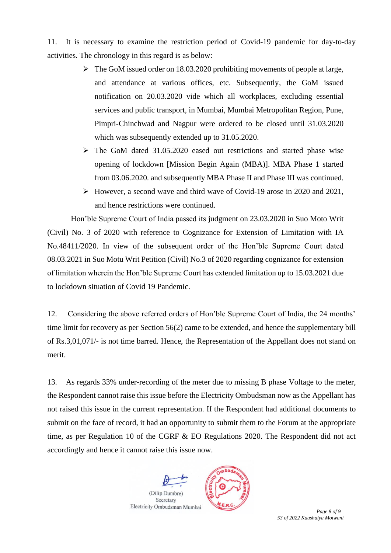11. It is necessary to examine the restriction period of Covid-19 pandemic for day-to-day activities. The chronology in this regard is as below:

- ➢ The GoM issued order on 18.03.2020 prohibiting movements of people at large, and attendance at various offices, etc. Subsequently, the GoM issued notification on 20.03.2020 vide which all workplaces, excluding essential services and public transport, in Mumbai, Mumbai Metropolitan Region, Pune, Pimpri-Chinchwad and Nagpur were ordered to be closed until 31.03.2020 which was subsequently extended up to 31.05.2020.
- ➢ The GoM dated 31.05.2020 eased out restrictions and started phase wise opening of lockdown [Mission Begin Again (MBA)]. MBA Phase 1 started from 03.06.2020. and subsequently MBA Phase II and Phase III was continued.
- ➢ However, a second wave and third wave of Covid-19 arose in 2020 and 2021, and hence restrictions were continued.

Hon'ble Supreme Court of India passed its judgment on 23.03.2020 in Suo Moto Writ (Civil) No. 3 of 2020 with reference to Cognizance for Extension of Limitation with IA No.48411/2020. In view of the subsequent order of the Hon'ble Supreme Court dated 08.03.2021 in Suo Motu Writ Petition (Civil) No.3 of 2020 regarding cognizance for extension of limitation wherein the Hon'ble Supreme Court has extended limitation up to 15.03.2021 due to lockdown situation of Covid 19 Pandemic.

12. Considering the above referred orders of Hon'ble Supreme Court of India, the 24 months' time limit for recovery as per Section 56(2) came to be extended, and hence the supplementary bill of Rs.3,01,071/- is not time barred. Hence, the Representation of the Appellant does not stand on merit.

13. As regards 33% under-recording of the meter due to missing B phase Voltage to the meter, the Respondent cannot raise this issue before the Electricity Ombudsman now as the Appellant has not raised this issue in the current representation. If the Respondent had additional documents to submit on the face of record, it had an opportunity to submit them to the Forum at the appropriate time, as per Regulation 10 of the CGRF & EO Regulations 2020. The Respondent did not act accordingly and hence it cannot raise this issue now.



*53 of 2022 Kaushalya Motwani*